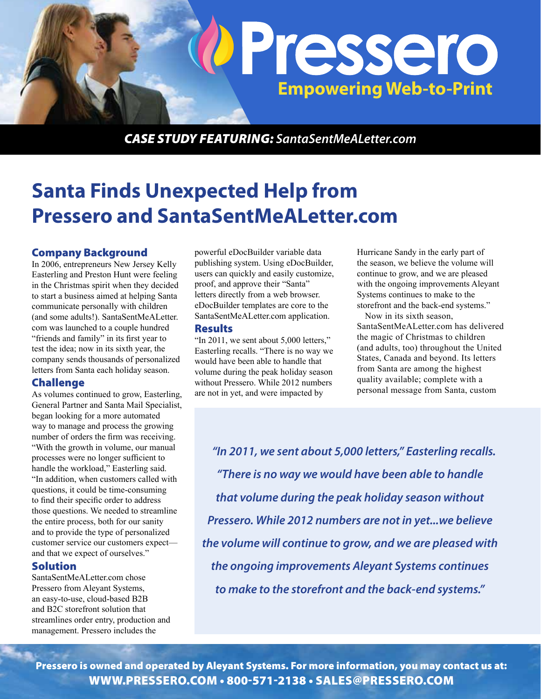

*CASE STUDY Featuring: SantaSentMeALetter.com*

# **Santa Finds Unexpected Help from Pressero and SantaSentMeALetter.com**

### Company Background

In 2006, entrepreneurs New Jersey Kelly Easterling and Preston Hunt were feeling in the Christmas spirit when they decided to start a business aimed at helping Santa communicate personally with children (and some adults!). SantaSentMeALetter. com was launched to a couple hundred "friends and family" in its first year to test the idea; now in its sixth year, the company sends thousands of personalized letters from Santa each holiday season.

#### Challenge

As volumes continued to grow, Easterling, General Partner and Santa Mail Specialist, began looking for a more automated way to manage and process the growing number of orders the firm was receiving. "With the growth in volume, our manual processes were no longer sufficient to handle the workload," Easterling said. "In addition, when customers called with questions, it could be time-consuming to find their specific order to address those questions. We needed to streamline the entire process, both for our sanity and to provide the type of personalized customer service our customers expect and that we expect of ourselves."

#### Solution

SantaSentMeALetter.com chose Pressero from Aleyant Systems, an easy-to-use, cloud-based B2B and B2C storefront solution that streamlines order entry, production and management. Pressero includes the

powerful eDocBuilder variable data publishing system. Using eDocBuilder, users can quickly and easily customize, proof, and approve their "Santa" letters directly from a web browser. eDocBuilder templates are core to the SantaSentMeALetter.com application.

#### **Results**

"In 2011, we sent about 5,000 letters," Easterling recalls. "There is no way we would have been able to handle that volume during the peak holiday season without Pressero. While 2012 numbers are not in yet, and were impacted by

Hurricane Sandy in the early part of the season, we believe the volume will continue to grow, and we are pleased with the ongoing improvements Aleyant Systems continues to make to the storefront and the back-end systems."

Now in its sixth season, SantaSentMeALetter.com has delivered the magic of Christmas to children (and adults, too) throughout the United States, Canada and beyond. Its letters from Santa are among the highest quality available; complete with a personal message from Santa, custom

*"In 2011, we sent about 5,000 letters," Easterling recalls. "There is no way we would have been able to handle that volume during the peak holiday season without Pressero. While 2012 numbers are not in yet...we believe the volume will continue to grow, and we are pleased with the ongoing improvements Aleyant Systems continues to make to the storefront and the back-end systems."*

Pressero is owned and operated by Aleyant Systems. For more information, you may contact us at: www.pressero.com • 800-571-2138 • sales@pressero.com